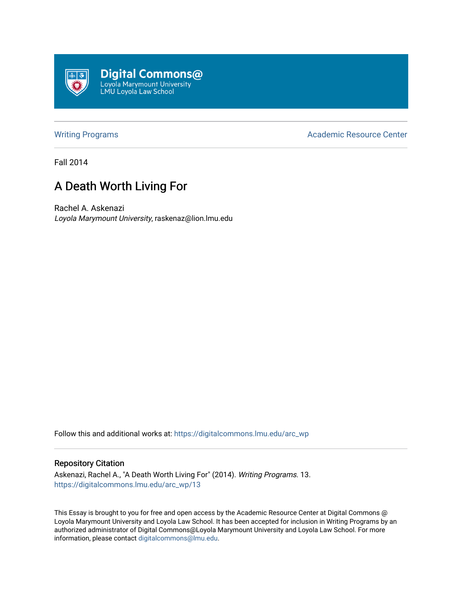

[Writing Programs](https://digitalcommons.lmu.edu/arc_wp) **Academic Resource Center** Academic Resource Center

Fall 2014

# A Death Worth Living For

Rachel A. Askenazi Loyola Marymount University, raskenaz@lion.lmu.edu

Follow this and additional works at: [https://digitalcommons.lmu.edu/arc\\_wp](https://digitalcommons.lmu.edu/arc_wp?utm_source=digitalcommons.lmu.edu%2Farc_wp%2F13&utm_medium=PDF&utm_campaign=PDFCoverPages)

#### Repository Citation

Askenazi, Rachel A., "A Death Worth Living For" (2014). Writing Programs. 13. [https://digitalcommons.lmu.edu/arc\\_wp/13](https://digitalcommons.lmu.edu/arc_wp/13?utm_source=digitalcommons.lmu.edu%2Farc_wp%2F13&utm_medium=PDF&utm_campaign=PDFCoverPages) 

This Essay is brought to you for free and open access by the Academic Resource Center at Digital Commons @ Loyola Marymount University and Loyola Law School. It has been accepted for inclusion in Writing Programs by an authorized administrator of Digital Commons@Loyola Marymount University and Loyola Law School. For more information, please contact [digitalcommons@lmu.edu.](mailto:digitalcommons@lmu.edu)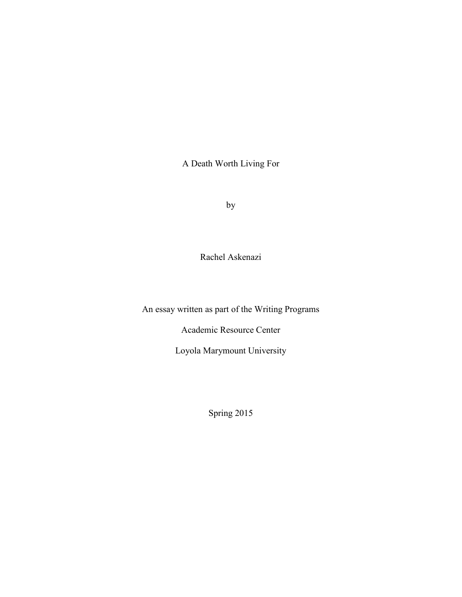A Death Worth Living For

by

Rachel Askenazi

An essay written as part of the Writing Programs

Academic Resource Center

Loyola Marymount University

Spring 2015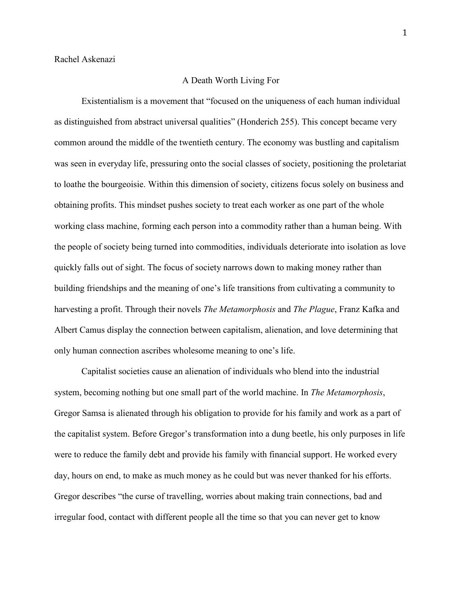### A Death Worth Living For

Existentialism is a movement that "focused on the uniqueness of each human individual as distinguished from abstract universal qualities" (Honderich 255). This concept became very common around the middle of the twentieth century. The economy was bustling and capitalism was seen in everyday life, pressuring onto the social classes of society, positioning the proletariat to loathe the bourgeoisie. Within this dimension of society, citizens focus solely on business and obtaining profits. This mindset pushes society to treat each worker as one part of the whole working class machine, forming each person into a commodity rather than a human being. With the people of society being turned into commodities, individuals deteriorate into isolation as love quickly falls out of sight. The focus of society narrows down to making money rather than building friendships and the meaning of one's life transitions from cultivating a community to harvesting a profit. Through their novels *The Metamorphosis* and *The Plague*, Franz Kafka and Albert Camus display the connection between capitalism, alienation, and love determining that only human connection ascribes wholesome meaning to one's life.

Capitalist societies cause an alienation of individuals who blend into the industrial system, becoming nothing but one small part of the world machine. In *The Metamorphosis*, Gregor Samsa is alienated through his obligation to provide for his family and work as a part of the capitalist system. Before Gregor's transformation into a dung beetle, his only purposes in life were to reduce the family debt and provide his family with financial support. He worked every day, hours on end, to make as much money as he could but was never thanked for his efforts. Gregor describes "the curse of travelling, worries about making train connections, bad and irregular food, contact with different people all the time so that you can never get to know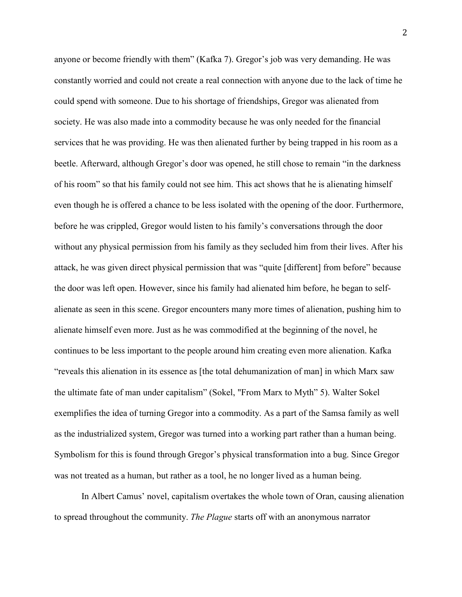anyone or become friendly with them" (Kafka 7). Gregor's job was very demanding. He was constantly worried and could not create a real connection with anyone due to the lack of time he could spend with someone. Due to his shortage of friendships, Gregor was alienated from society. He was also made into a commodity because he was only needed for the financial services that he was providing. He was then alienated further by being trapped in his room as a beetle. Afterward, although Gregor's door was opened, he still chose to remain "in the darkness of his room" so that his family could not see him. This act shows that he is alienating himself even though he is offered a chance to be less isolated with the opening of the door. Furthermore, before he was crippled, Gregor would listen to his family's conversations through the door without any physical permission from his family as they secluded him from their lives. After his attack, he was given direct physical permission that was "quite [different] from before" because the door was left open. However, since his family had alienated him before, he began to selfalienate as seen in this scene. Gregor encounters many more times of alienation, pushing him to alienate himself even more. Just as he was commodified at the beginning of the novel, he continues to be less important to the people around him creating even more alienation. Kafka "reveals this alienation in its essence as [the total dehumanization of man] in which Marx saw the ultimate fate of man under capitalism" (Sokel, "From Marx to Myth" 5). Walter Sokel exemplifies the idea of turning Gregor into a commodity. As a part of the Samsa family as well as the industrialized system, Gregor was turned into a working part rather than a human being. Symbolism for this is found through Gregor's physical transformation into a bug. Since Gregor was not treated as a human, but rather as a tool, he no longer lived as a human being.

In Albert Camus' novel, capitalism overtakes the whole town of Oran, causing alienation to spread throughout the community. *The Plague* starts off with an anonymous narrator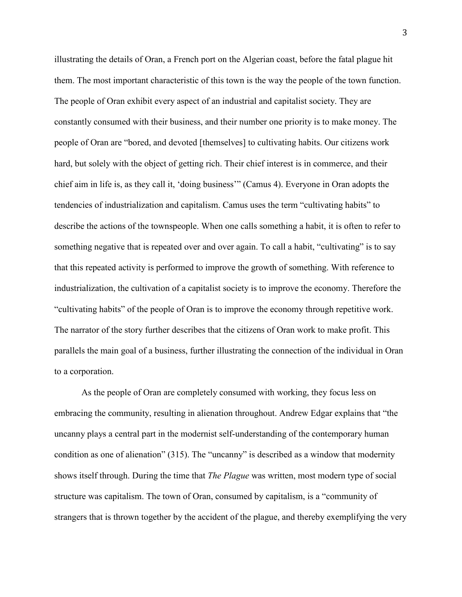illustrating the details of Oran, a French port on the Algerian coast, before the fatal plague hit them. The most important characteristic of this town is the way the people of the town function. The people of Oran exhibit every aspect of an industrial and capitalist society. They are constantly consumed with their business, and their number one priority is to make money. The people of Oran are "bored, and devoted [themselves] to cultivating habits. Our citizens work hard, but solely with the object of getting rich. Their chief interest is in commerce, and their chief aim in life is, as they call it, 'doing business'" (Camus 4). Everyone in Oran adopts the tendencies of industrialization and capitalism. Camus uses the term "cultivating habits" to describe the actions of the townspeople. When one calls something a habit, it is often to refer to something negative that is repeated over and over again. To call a habit, "cultivating" is to say that this repeated activity is performed to improve the growth of something. With reference to industrialization, the cultivation of a capitalist society is to improve the economy. Therefore the "cultivating habits" of the people of Oran is to improve the economy through repetitive work. The narrator of the story further describes that the citizens of Oran work to make profit. This parallels the main goal of a business, further illustrating the connection of the individual in Oran to a corporation.

As the people of Oran are completely consumed with working, they focus less on embracing the community, resulting in alienation throughout. Andrew Edgar explains that "the uncanny plays a central part in the modernist self-understanding of the contemporary human condition as one of alienation" (315). The "uncanny" is described as a window that modernity shows itself through. During the time that *The Plague* was written, most modern type of social structure was capitalism. The town of Oran, consumed by capitalism, is a "community of strangers that is thrown together by the accident of the plague, and thereby exemplifying the very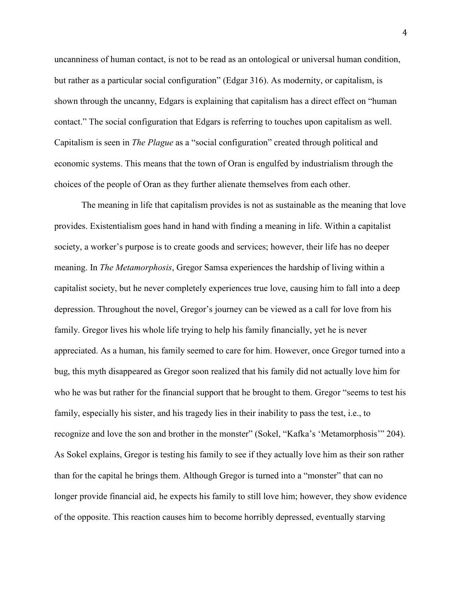uncanniness of human contact, is not to be read as an ontological or universal human condition, but rather as a particular social configuration" (Edgar 316). As modernity, or capitalism, is shown through the uncanny, Edgars is explaining that capitalism has a direct effect on "human contact." The social configuration that Edgars is referring to touches upon capitalism as well. Capitalism is seen in *The Plague* as a "social configuration" created through political and economic systems. This means that the town of Oran is engulfed by industrialism through the choices of the people of Oran as they further alienate themselves from each other.

The meaning in life that capitalism provides is not as sustainable as the meaning that love provides. Existentialism goes hand in hand with finding a meaning in life. Within a capitalist society, a worker's purpose is to create goods and services; however, their life has no deeper meaning. In *The Metamorphosis*, Gregor Samsa experiences the hardship of living within a capitalist society, but he never completely experiences true love, causing him to fall into a deep depression. Throughout the novel, Gregor's journey can be viewed as a call for love from his family. Gregor lives his whole life trying to help his family financially, yet he is never appreciated. As a human, his family seemed to care for him. However, once Gregor turned into a bug, this myth disappeared as Gregor soon realized that his family did not actually love him for who he was but rather for the financial support that he brought to them. Gregor "seems to test his family, especially his sister, and his tragedy lies in their inability to pass the test, i.e., to recognize and love the son and brother in the monster" (Sokel, "Kafka's 'Metamorphosis'" 204). As Sokel explains, Gregor is testing his family to see if they actually love him as their son rather than for the capital he brings them. Although Gregor is turned into a "monster" that can no longer provide financial aid, he expects his family to still love him; however, they show evidence of the opposite. This reaction causes him to become horribly depressed, eventually starving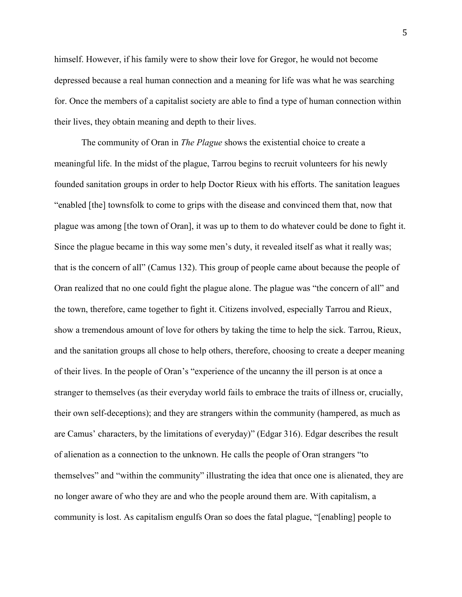himself. However, if his family were to show their love for Gregor, he would not become depressed because a real human connection and a meaning for life was what he was searching for. Once the members of a capitalist society are able to find a type of human connection within their lives, they obtain meaning and depth to their lives.

The community of Oran in *The Plague* shows the existential choice to create a meaningful life. In the midst of the plague, Tarrou begins to recruit volunteers for his newly founded sanitation groups in order to help Doctor Rieux with his efforts. The sanitation leagues "enabled [the] townsfolk to come to grips with the disease and convinced them that, now that plague was among [the town of Oran], it was up to them to do whatever could be done to fight it. Since the plague became in this way some men's duty, it revealed itself as what it really was; that is the concern of all" (Camus 132). This group of people came about because the people of Oran realized that no one could fight the plague alone. The plague was "the concern of all" and the town, therefore, came together to fight it. Citizens involved, especially Tarrou and Rieux, show a tremendous amount of love for others by taking the time to help the sick. Tarrou, Rieux, and the sanitation groups all chose to help others, therefore, choosing to create a deeper meaning of their lives. In the people of Oran's "experience of the uncanny the ill person is at once a stranger to themselves (as their everyday world fails to embrace the traits of illness or, crucially, their own self-deceptions); and they are strangers within the community (hampered, as much as are Camus' characters, by the limitations of everyday)" (Edgar 316). Edgar describes the result of alienation as a connection to the unknown. He calls the people of Oran strangers "to themselves" and "within the community" illustrating the idea that once one is alienated, they are no longer aware of who they are and who the people around them are. With capitalism, a community is lost. As capitalism engulfs Oran so does the fatal plague, "[enabling] people to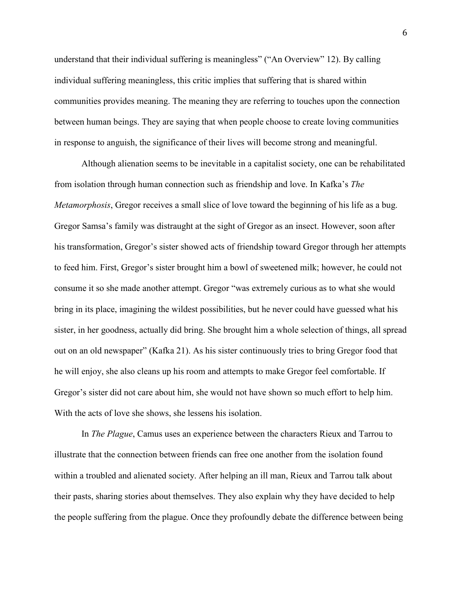understand that their individual suffering is meaningless" ("An Overview" 12). By calling individual suffering meaningless, this critic implies that suffering that is shared within communities provides meaning. The meaning they are referring to touches upon the connection between human beings. They are saying that when people choose to create loving communities in response to anguish, the significance of their lives will become strong and meaningful.

Although alienation seems to be inevitable in a capitalist society, one can be rehabilitated from isolation through human connection such as friendship and love. In Kafka's *The Metamorphosis*, Gregor receives a small slice of love toward the beginning of his life as a bug. Gregor Samsa's family was distraught at the sight of Gregor as an insect. However, soon after his transformation, Gregor's sister showed acts of friendship toward Gregor through her attempts to feed him. First, Gregor's sister brought him a bowl of sweetened milk; however, he could not consume it so she made another attempt. Gregor "was extremely curious as to what she would bring in its place, imagining the wildest possibilities, but he never could have guessed what his sister, in her goodness, actually did bring. She brought him a whole selection of things, all spread out on an old newspaper" (Kafka 21). As his sister continuously tries to bring Gregor food that he will enjoy, she also cleans up his room and attempts to make Gregor feel comfortable. If Gregor's sister did not care about him, she would not have shown so much effort to help him. With the acts of love she shows, she lessens his isolation.

In *The Plague*, Camus uses an experience between the characters Rieux and Tarrou to illustrate that the connection between friends can free one another from the isolation found within a troubled and alienated society. After helping an ill man, Rieux and Tarrou talk about their pasts, sharing stories about themselves. They also explain why they have decided to help the people suffering from the plague. Once they profoundly debate the difference between being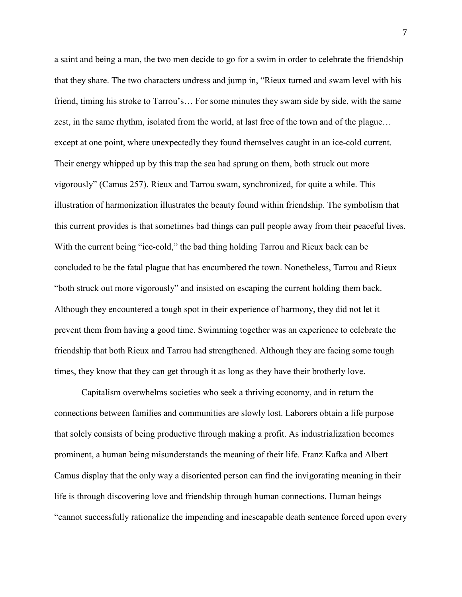a saint and being a man, the two men decide to go for a swim in order to celebrate the friendship that they share. The two characters undress and jump in, "Rieux turned and swam level with his friend, timing his stroke to Tarrou's… For some minutes they swam side by side, with the same zest, in the same rhythm, isolated from the world, at last free of the town and of the plague… except at one point, where unexpectedly they found themselves caught in an ice-cold current. Their energy whipped up by this trap the sea had sprung on them, both struck out more vigorously" (Camus 257). Rieux and Tarrou swam, synchronized, for quite a while. This illustration of harmonization illustrates the beauty found within friendship. The symbolism that this current provides is that sometimes bad things can pull people away from their peaceful lives. With the current being "ice-cold," the bad thing holding Tarrou and Rieux back can be concluded to be the fatal plague that has encumbered the town. Nonetheless, Tarrou and Rieux "both struck out more vigorously" and insisted on escaping the current holding them back. Although they encountered a tough spot in their experience of harmony, they did not let it prevent them from having a good time. Swimming together was an experience to celebrate the friendship that both Rieux and Tarrou had strengthened. Although they are facing some tough times, they know that they can get through it as long as they have their brotherly love.

Capitalism overwhelms societies who seek a thriving economy, and in return the connections between families and communities are slowly lost. Laborers obtain a life purpose that solely consists of being productive through making a profit. As industrialization becomes prominent, a human being misunderstands the meaning of their life. Franz Kafka and Albert Camus display that the only way a disoriented person can find the invigorating meaning in their life is through discovering love and friendship through human connections. Human beings "cannot successfully rationalize the impending and inescapable death sentence forced upon every